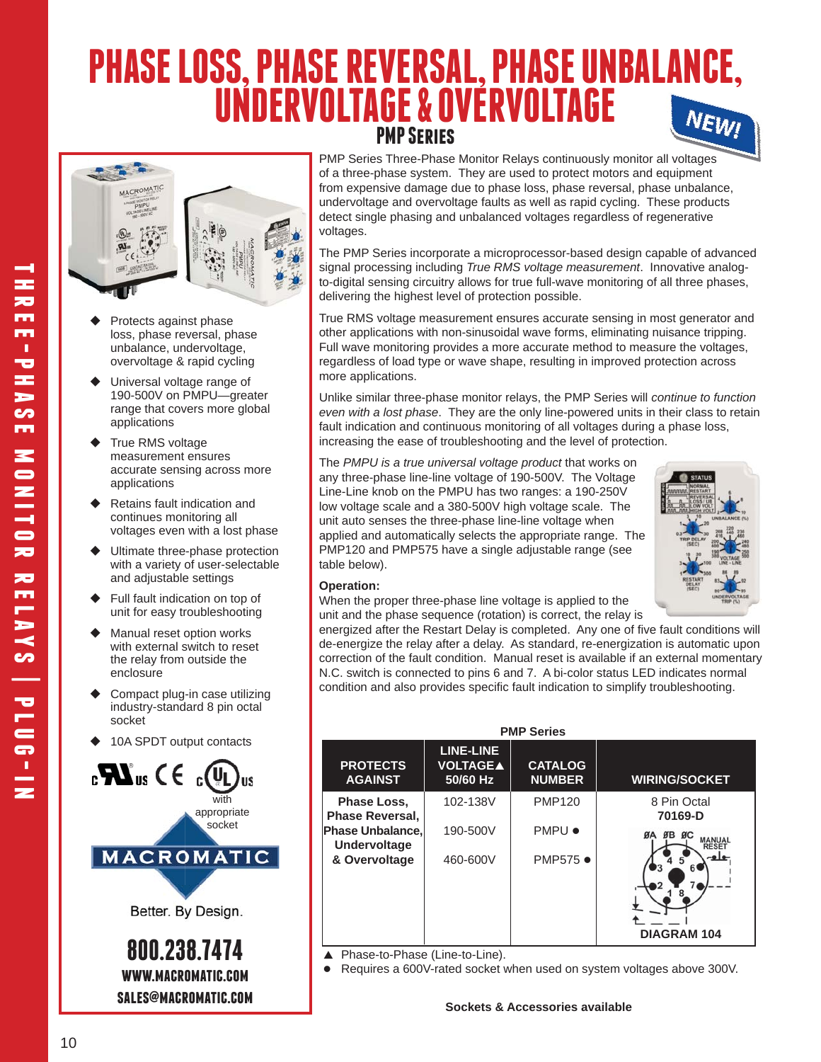# **PHASE LOSS, PHASE REVERSAL, PHASE UNBALANCE, UNDERVOLTAGE & OVERVOLTAGE** NEWI **PMP Series**



- Protects against phase loss, phase reversal, phase unbalance, undervoltage, overvoltage & rapid cycling
- Universal voltage range of 190-500V on PMPU—greater range that covers more global applications
- True RMS voltage measurement ensures accurate sensing across more applications
- Retains fault indication and continues monitoring all voltages even with a lost phase
- Ultimate three-phase protection with a variety of user-selectable and adjustable settings
- Full fault indication on top of unit for easy troubleshooting
- Manual reset option works with external switch to reset the relay from outside the enclosure
- Compact plug-in case utilizing industry-standard 8 pin octal socket
- ◆ 10A SPDT output contacts



PMP Series Three-Phase Monitor Relays continuously monitor all voltages of a three-phase system. They are used to protect motors and equipment from expensive damage due to phase loss, phase reversal, phase unbalance, undervoltage and overvoltage faults as well as rapid cycling. These products detect single phasing and unbalanced voltages regardless of regenerative voltages.

The PMP Series incorporate a microprocessor-based design capable of advanced signal processing including *True RMS voltage measurement*. Innovative analogto-digital sensing circuitry allows for true full-wave monitoring of all three phases, delivering the highest level of protection possible.

True RMS voltage measurement ensures accurate sensing in most generator and other applications with non-sinusoidal wave forms, eliminating nuisance tripping. Full wave monitoring provides a more accurate method to measure the voltages, regardless of load type or wave shape, resulting in improved protection across more applications.

Unlike similar three-phase monitor relays, the PMP Series will *continue to function even with a lost phase*. They are the only line-powered units in their class to retain fault indication and continuous monitoring of all voltages during a phase loss, increasing the ease of troubleshooting and the level of protection.

The *PMPU is a true universal voltage product* that works on any three-phase line-line voltage of 190-500V. The Voltage Line-Line knob on the PMPU has two ranges: a 190-250V low voltage scale and a 380-500V high voltage scale. The unit auto senses the three-phase line-line voltage when applied and automatically selects the appropriate range. The PMP120 and PMP575 have a single adjustable range (see table below).



### **Operation:**

When the proper three-phase line voltage is applied to the unit and the phase sequence (rotation) is correct, the relay is

energized after the Restart Delay is completed. Any one of five fault conditions will de-energize the relay after a delay. As standard, re-energization is automatic upon correction of the fault condition. Manual reset is available if an external momentary N.C. switch is connected to pins 6 and 7. A bi-color status LED indicates normal condition and also provides specific fault indication to simplify troubleshooting.

| <b>PMP Series</b>                       |                                                 |                                 |                        |  |  |  |  |
|-----------------------------------------|-------------------------------------------------|---------------------------------|------------------------|--|--|--|--|
| <b>PROTECTS</b><br><b>AGAINST</b>       | <b>LINE-LINE</b><br><b>VOLTAGEA</b><br>50/60 Hz | <b>CATALOG</b><br><b>NUMBER</b> | <b>WIRING/SOCKET</b>   |  |  |  |  |
| Phase Loss,<br><b>Phase Reversal.</b>   | 102-138V                                        | <b>PMP120</b>                   | 8 Pin Octal<br>70169-D |  |  |  |  |
| Phase Unbalance,<br><b>Undervoltage</b> | 190-500V                                        | <b>PMPU •</b>                   | $ØB$ $ØC$<br>ØA        |  |  |  |  |
| & Overvoltage                           | 460-600V                                        | PMP575 ●                        | <b>DIAGRAM 104</b>     |  |  |  |  |

▲ Phase-to-Phase (Line-to-Line).

Requires a 600V-rated socket when used on system voltages above 300V.

**three-phase monitor relays | plug-in** m m a, 73 FE **S CO** m  $\overline{\phantom{a}}$ NITOR  $\overline{\mathbf{z}}$ ē  $SAN$ **brd** 

FF æ